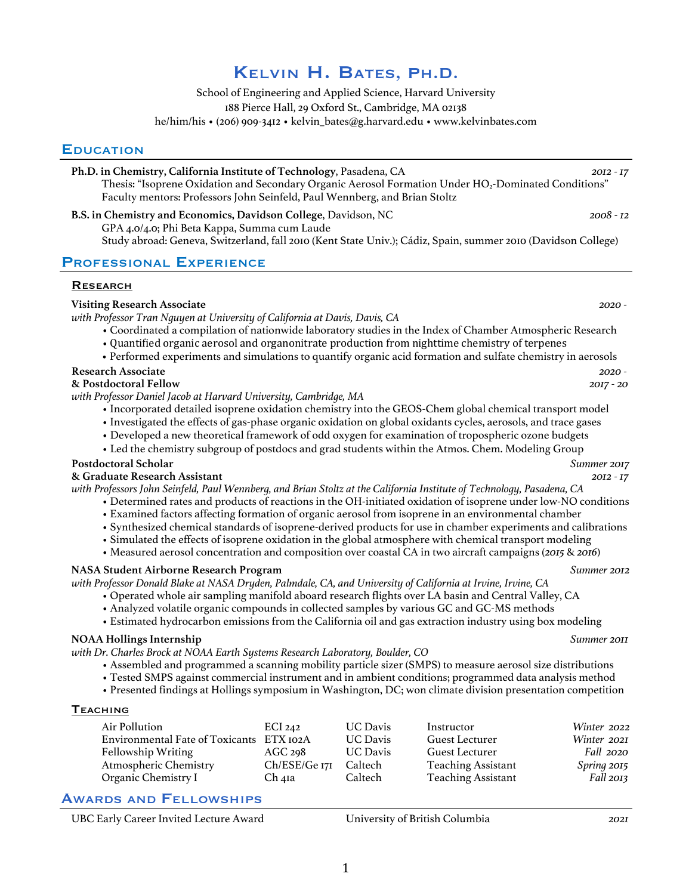# Kelvin H. Bates, Ph.D.

School of Engineering and Applied Science, Harvard University 188 Pierce Hall, 29 Oxford St., Cambridge, MA 02138 he/him/his • (206) 909-3412 • kelvin\_bates@g.harvard.edu • www.kelvinbates.com

# **EDUCATION**

**Ph.D. in Chemistry, California Institute of Technology**, Pasadena, CA *2012 - 17* Thesis: "Isoprene Oxidation and Secondary Organic Aerosol Formation Under HO2-Dominated Conditions" Faculty mentors: Professors John Seinfeld, Paul Wennberg, and Brian Stoltz

**B.S. in Chemistry and Economics, Davidson College**, Davidson, NC *2008 - 12* GPA 4.0/4.0; Phi Beta Kappa, Summa cum Laude Study abroad: Geneva, Switzerland, fall 2010 (Kent State Univ.); Cádiz, Spain, summer 2010 (Davidson College)

# Professional Experience

#### **RESEARCH**

#### **Visiting Research Associate** *2020 with Professor Tran Nguyen at University of California at Davis, Davis, CA*

- - Coordinated a compilation of nationwide laboratory studies in the Index of Chamber Atmospheric Research • Quantified organic aerosol and organonitrate production from nighttime chemistry of terpenes
	- Performed experiments and simulations to quantify organic acid formation and sulfate chemistry in aerosols
- **Research Associate** *2020 -*

# **& Postdoctoral Fellow** *2017 - 20*

*with Professor Daniel Jacob at Harvard University, Cambridge, MA*

- Incorporated detailed isoprene oxidation chemistry into the GEOS-Chem global chemical transport model
- Investigated the effects of gas-phase organic oxidation on global oxidants cycles, aerosols, and trace gases
- Developed a new theoretical framework of odd oxygen for examination of tropospheric ozone budgets
- Led the chemistry subgroup of postdocs and grad students within the Atmos. Chem. Modeling Group

#### **Postdoctoral Scholar** *Summer 2017*

# **& Graduate Research Assistant** *2012 - 17*

*with Professors John Seinfeld, Paul Wennberg, and Brian Stoltz at the California Institute of Technology, Pasadena, CA*

- Determined rates and products of reactions in the OH-initiated oxidation of isoprene under low-NO conditions
- Examined factors affecting formation of organic aerosol from isoprene in an environmental chamber
- Synthesized chemical standards of isoprene-derived products for use in chamber experiments and calibrations
- Simulated the effects of isoprene oxidation in the global atmosphere with chemical transport modeling
- Measured aerosol concentration and composition over coastal CA in two aircraft campaigns (*2015* & *2016*)

# **NASA Student Airborne Research Program** *Summer 2012*

*with Professor Donald Blake at NASA Dryden, Palmdale, CA, and University of California at Irvine, Irvine, CA*

- Operated whole air sampling manifold aboard research flights over LA basin and Central Valley, CA
- Analyzed volatile organic compounds in collected samples by various GC and GC-MS methods
- Estimated hydrocarbon emissions from the California oil and gas extraction industry using box modeling

# **NOAA Hollings Internship** *Summer 2011*

*with Dr. Charles Brock at NOAA Earth Systems Research Laboratory, Boulder, CO*

- Assembled and programmed a scanning mobility particle sizer (SMPS) to measure aerosol size distributions
- Tested SMPS against commercial instrument and in ambient conditions; programmed data analysis method
- Presented findings at Hollings symposium in Washington, DC; won climate division presentation competition

#### **TEACHING**

| Air Pollution                            | ECI 242            | <b>UC Davis</b> | Instructor                | Winter 2022      |
|------------------------------------------|--------------------|-----------------|---------------------------|------------------|
| Environmental Fate of Toxicants ETX 102A |                    | <b>UC Davis</b> | <b>Guest Lecturer</b>     | Winter 2021      |
| <b>Fellowship Writing</b>                | AGC <sub>298</sub> | <b>UC</b> Davis | <b>Guest Lecturer</b>     | <i>Fall</i> 2020 |
| <b>Atmospheric Chemistry</b>             | Ch/ESE/Ge 171      | Caltech         | <b>Teaching Assistant</b> | Spring 2015      |
| Organic Chemistry I                      | Ch 41a             | Caltech         | <b>Teaching Assistant</b> | Fall 2013        |

# Awards and Fellowships

UBC Early Career Invited Lecture Award University of British Columbia *2021*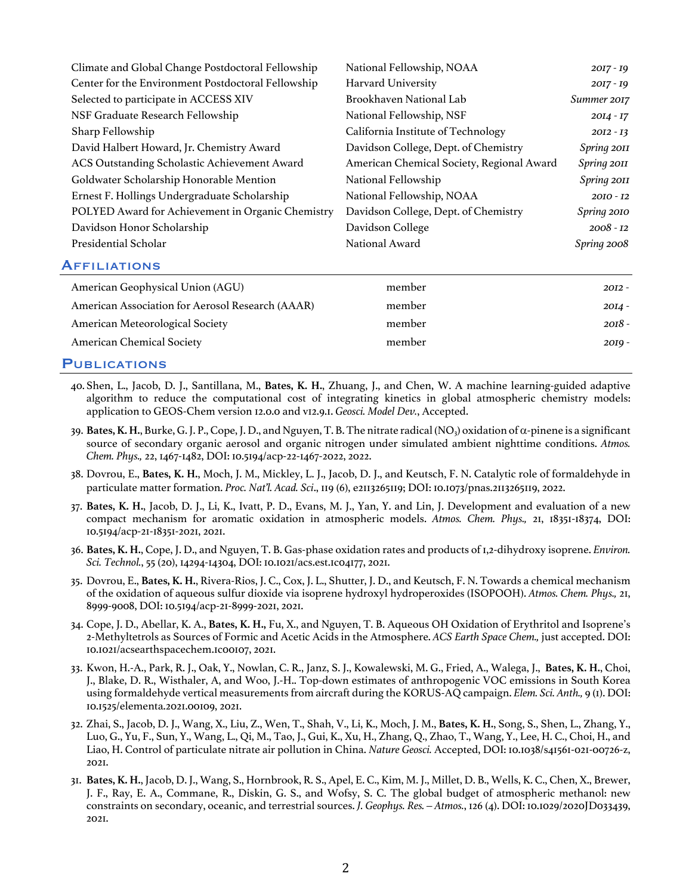| Climate and Global Change Postdoctoral Fellowship  | National Fellowship, NOAA                 | $20I7 - I9$ |
|----------------------------------------------------|-------------------------------------------|-------------|
| Center for the Environment Postdoctoral Fellowship | <b>Harvard University</b>                 | $20I7 - I9$ |
| Selected to participate in ACCESS XIV              | Brookhaven National Lab                   | Summer 2017 |
| NSF Graduate Research Fellowship                   | National Fellowship, NSF                  | $20I4 - I7$ |
| Sharp Fellowship                                   | California Institute of Technology        | $20I2 - I3$ |
| David Halbert Howard, Jr. Chemistry Award          | Davidson College, Dept. of Chemistry      | Spring 2011 |
| ACS Outstanding Scholastic Achievement Award       | American Chemical Society, Regional Award | Spring 2011 |
| Goldwater Scholarship Honorable Mention            | National Fellowship                       | Spring 2011 |
| Ernest F. Hollings Undergraduate Scholarship       | National Fellowship, NOAA                 | $20I0 - I2$ |
| POLYED Award for Achievement in Organic Chemistry  | Davidson College, Dept. of Chemistry      | Spring 2010 |
| Davidson Honor Scholarship                         | Davidson College                          | $2008 - I2$ |
| Presidential Scholar                               | National Award                            | Spring 2008 |
|                                                    |                                           |             |

# **AFFILIATIONS**

| American Geophysical Union (AGU)                 | member | $20I2 -$ |
|--------------------------------------------------|--------|----------|
| American Association for Aerosol Research (AAAR) | member | 20I4 -   |
| American Meteorological Society                  | member | $2018 -$ |
| <b>American Chemical Society</b>                 | member | $20I9 -$ |
|                                                  |        |          |

# **PUBLICATIONS**

- 40. Shen, L., Jacob, D. J., Santillana, M., **Bates, K. H.**, Zhuang, J., and Chen, W. A machine learning-guided adaptive algorithm to reduce the computational cost of integrating kinetics in global atmospheric chemistry models: application to GEOS-Chem version 12.0.0 and v12.9.1. *Geosci. Model Dev.*, Accepted.
- 39. **Bates, K. H.**, Burke, G. J. P., Cope, J. D., and Nguyen, T. B. The nitrate radical (NO<sub>3</sub>) oxidation of  $\alpha$ -pinene is a significant source of secondary organic aerosol and organic nitrogen under simulated ambient nighttime conditions. *Atmos. Chem. Phys.,* 22, 1467-1482, DOI: 10.5194/acp-22-1467-2022, 2022.
- 38. Dovrou, E., **Bates, K. H.**, Moch, J. M., Mickley, L. J., Jacob, D. J., and Keutsch, F. N. Catalytic role of formaldehyde in particulate matter formation. *Proc. Nat'l. Acad. Sci*., 119 (6), e2113265119; DOI: 10.1073/pnas.2113265119, 2022.
- 37. **Bates, K. H.**, Jacob, D. J., Li, K., Ivatt, P. D., Evans, M. J., Yan, Y. and Lin, J. Development and evaluation of a new compact mechanism for aromatic oxidation in atmospheric models. *Atmos. Chem. Phys.,* 21, 18351-18374, DOI: 10.5194/acp-21-18351-2021, 2021.
- 36. **Bates, K. H.**, Cope, J. D., and Nguyen, T. B. Gas-phase oxidation rates and products of 1,2-dihydroxy isoprene. *Environ. Sci. Technol.*, 55 (20), 14294-14304, DOI: 10.1021/acs.est.1c04177, 2021.
- 35. Dovrou, E., **Bates, K. H.**, Rivera-Rios, J. C., Cox, J. L., Shutter, J. D., and Keutsch, F. N. Towards a chemical mechanism of the oxidation of aqueous sulfur dioxide via isoprene hydroxyl hydroperoxides (ISOPOOH). *Atmos. Chem. Phys.,* 21, 8999-9008, DOI: 10.5194/acp-21-8999-2021, 2021.
- 34. Cope, J. D., Abellar, K. A., **Bates, K. H.,** Fu, X., and Nguyen, T. B. Aqueous OH Oxidation of Erythritol and Isoprene's 2-Methyltetrols as Sources of Formic and Acetic Acids in the Atmosphere. *ACS Earth Space Chem.,* just accepted. DOI: 10.1021/acsearthspacechem.1c00107, 2021.
- 33. Kwon, H.-A., Park, R. J., Oak, Y., Nowlan, C. R., Janz, S. J., Kowalewski, M. G., Fried, A., Walega, J., **Bates, K. H.**, Choi, J., Blake, D. R., Wisthaler, A, and Woo, J.-H.. Top-down estimates of anthropogenic VOC emissions in South Korea using formaldehyde vertical measurements from aircraft during the KORUS-AQ campaign. *Elem. Sci. Anth.,* 9 (1). DOI: 10.1525/elementa.2021.00109, 2021.
- 32. Zhai, S., Jacob, D. J., Wang, X., Liu, Z., Wen, T., Shah, V., Li, K., Moch, J. M., **Bates, K. H.**, Song, S., Shen, L., Zhang, Y., Luo, G., Yu, F., Sun, Y., Wang, L., Qi, M., Tao, J., Gui, K., Xu, H., Zhang, Q., Zhao, T., Wang, Y., Lee, H. C., Choi, H., and Liao, H. Control of particulate nitrate air pollution in China. *Nature Geosci.* Accepted, DOI: 10.1038/s41561-021-00726-z,  $2021$
- 31. **Bates, K. H.**, Jacob, D. J., Wang, S., Hornbrook, R. S., Apel, E. C., Kim, M. J., Millet, D. B., Wells, K. C., Chen, X., Brewer, J. F., Ray, E. A., Commane, R., Diskin, G. S., and Wofsy, S. C. The global budget of atmospheric methanol: new constraints on secondary, oceanic, and terrestrial sources. *J. Geophys. Res. – Atmos.*, 126 (4). DOI: 10.1029/2020JD033439, 2021.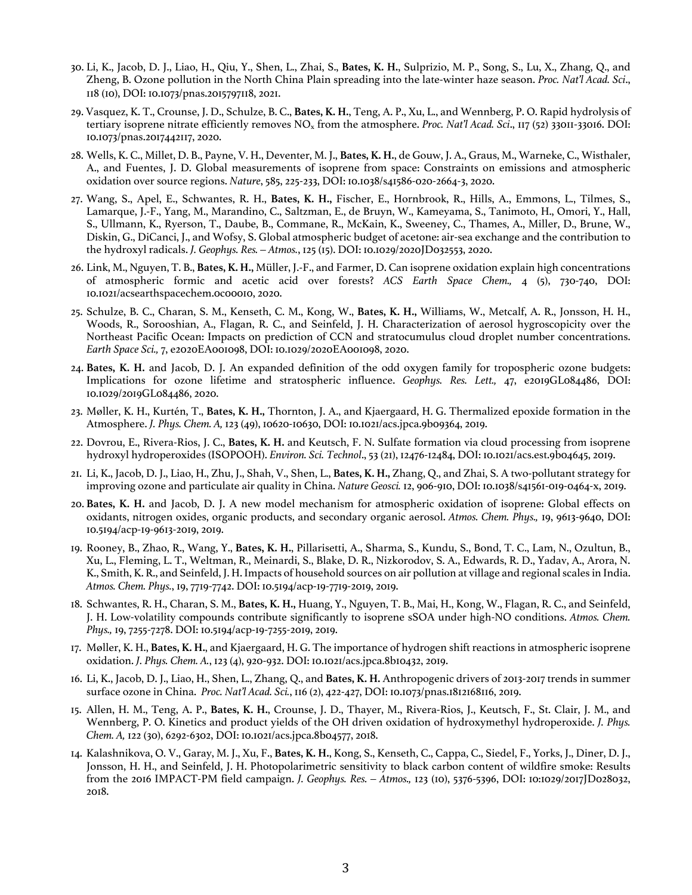- 30. Li, K., Jacob, D. J., Liao, H., Qiu, Y., Shen, L., Zhai, S., **Bates, K. H.**, Sulprizio, M. P., Song, S., Lu, X., Zhang, Q., and Zheng, B. Ozone pollution in the North China Plain spreading into the late-winter haze season. *Proc. Nat'l Acad. Sci*., 118 (10), DOI: 10.1073/pnas.2015797118, 2021.
- 29. Vasquez, K. T., Crounse, J. D., Schulze, B. C., **Bates, K. H.**, Teng, A. P., Xu, L., and Wennberg, P. O. Rapid hydrolysis of tertiary isoprene nitrate efficiently removes NOx from the atmosphere. *Proc. Nat'l Acad. Sci*., 117 (52) 33011-33016. DOI: 10.1073/pnas.2017442117, 2020.
- 28. Wells, K. C., Millet, D. B., Payne, V. H., Deventer, M. J., **Bates, K. H.**, de Gouw, J. A., Graus, M., Warneke, C., Wisthaler, A., and Fuentes, J. D. Global measurements of isoprene from space: Constraints on emissions and atmospheric oxidation over source regions. *Nature*, 585, 225-233, DOI: 10.1038/s41586-020-2664-3, 2020.
- 27. Wang, S., Apel, E., Schwantes, R. H., **Bates, K. H.,** Fischer, E., Hornbrook, R., Hills, A., Emmons, L., Tilmes, S., Lamarque, J.-F., Yang, M., Marandino, C., Saltzman, E., de Bruyn, W., Kameyama, S., Tanimoto, H., Omori, Y., Hall, S., Ullmann, K., Ryerson, T., Daube, B., Commane, R., McKain, K., Sweeney, C., Thames, A., Miller, D., Brune, W., Diskin, G., DiCanci, J., and Wofsy, S. Global atmospheric budget of acetone: air-sea exchange and the contribution to the hydroxyl radicals. *J. Geophys. Res. – Atmos.*, 125 (15). DOI: 10.1029/2020JD032553, 2020.
- 26. Link, M., Nguyen, T. B., **Bates, K. H.,** Müller, J.-F., and Farmer, D. Can isoprene oxidation explain high concentrations of atmospheric formic and acetic acid over forests? *ACS Earth Space Chem.,* 4 (5), 730-740, DOI: 10.1021/acsearthspacechem.0c00010, 2020.
- 25. Schulze, B. C., Charan, S. M., Kenseth, C. M., Kong, W., **Bates, K. H.,** Williams, W., Metcalf, A. R., Jonsson, H. H., Woods, R., Sorooshian, A., Flagan, R. C., and Seinfeld, J. H. Characterization of aerosol hygroscopicity over the Northeast Pacific Ocean: Impacts on prediction of CCN and stratocumulus cloud droplet number concentrations. *Earth Space Sci.,* 7, e2020EA001098, DOI: 10.1029/2020EA001098, 2020.
- 24. **Bates, K. H.** and Jacob, D. J. An expanded definition of the odd oxygen family for tropospheric ozone budgets: Implications for ozone lifetime and stratospheric influence. *Geophys. Res. Lett.,* 47, e2019GL084486, DOI: 10.1029/2019GL084486, 2020.
- 23. Møller, K. H., Kurtén, T., **Bates, K. H.,** Thornton, J. A., and Kjaergaard, H. G. Thermalized epoxide formation in the Atmosphere. *J. Phys. Chem. A,* 123 (49), 10620-10630, DOI: 10.1021/acs.jpca.9b09364, 2019.
- 22. Dovrou, E., Rivera-Rios, J. C., **Bates, K. H.** and Keutsch, F. N. Sulfate formation via cloud processing from isoprene hydroxyl hydroperoxides (ISOPOOH). *Environ. Sci. Technol*., 53 (21), 12476-12484, DOI: 10.1021/acs.est.9b04645, 2019.
- 21. Li, K., Jacob, D. J., Liao, H., Zhu, J., Shah, V., Shen, L., **Bates, K. H.,** Zhang, Q., and Zhai, S. A two-pollutant strategy for improving ozone and particulate air quality in China. *Nature Geosci.* 12, 906-910, DOI: 10.1038/s41561-019-0464-x, 2019.
- 20. **Bates, K. H.** and Jacob, D. J. A new model mechanism for atmospheric oxidation of isoprene: Global effects on oxidants, nitrogen oxides, organic products, and secondary organic aerosol. *Atmos. Chem. Phys.,* 19, 9613-9640, DOI: 10.5194/acp-19-9613-2019, 2019.
- 19. Rooney, B., Zhao, R., Wang, Y., **Bates, K. H.**, Pillarisetti, A., Sharma, S., Kundu, S., Bond, T. C., Lam, N., Ozultun, B., Xu, L., Fleming, L. T., Weltman, R., Meinardi, S., Blake, D. R., Nizkorodov, S. A., Edwards, R. D., Yadav, A., Arora, N. K., Smith, K. R., and Seinfeld, J. H. Impacts of household sources on air pollution at village and regional scales in India. *Atmos. Chem. Phys.*, 19, 7719-7742. DOI: 10.5194/acp-19-7719-2019, 2019.
- 18. Schwantes, R. H., Charan, S. M., **Bates, K. H.,** Huang, Y., Nguyen, T. B., Mai, H., Kong, W., Flagan, R. C., and Seinfeld, J. H. Low-volatility compounds contribute significantly to isoprene sSOA under high-NO conditions. *Atmos. Chem. Phys.,* 19, 7255-7278. DOI: 10.5194/acp-19-7255-2019, 2019.
- 17. Møller, K. H., **Bates, K. H.**, and Kjaergaard, H. G. The importance of hydrogen shift reactions in atmospheric isoprene oxidation. *J. Phys. Chem. A.*, 123 (4), 920-932. DOI: 10.1021/acs.jpca.8b10432, 2019.
- 16. Li, K., Jacob, D. J., Liao, H., Shen, L., Zhang, Q., and **Bates, K. H.** Anthropogenic drivers of 2013-2017 trends in summer surface ozone in China. *Proc. Nat'l Acad. Sci.*, 116 (2), 422-427, DOI: 10.1073/pnas.1812168116, 2019.
- 15. Allen, H. M., Teng, A. P., **Bates, K. H.**, Crounse, J. D., Thayer, M., Rivera-Rios, J., Keutsch, F., St. Clair, J. M., and Wennberg, P. O. Kinetics and product yields of the OH driven oxidation of hydroxymethyl hydroperoxide. *J. Phys. Chem. A,* 122 (30), 6292-6302, DOI: 10.1021/acs.jpca.8b04577, 2018.
- 14. Kalashnikova, O. V., Garay, M. J., Xu, F., **Bates, K. H.**, Kong, S., Kenseth, C., Cappa, C., Siedel, F., Yorks, J., Diner, D. J., Jonsson, H. H., and Seinfeld, J. H. Photopolarimetric sensitivity to black carbon content of wildfire smoke: Results from the 2016 IMPACT-PM field campaign. *J. Geophys. Res. – Atmos.,* 123 (10), 5376-5396, DOI: 10:1029/2017JD028032, 2018.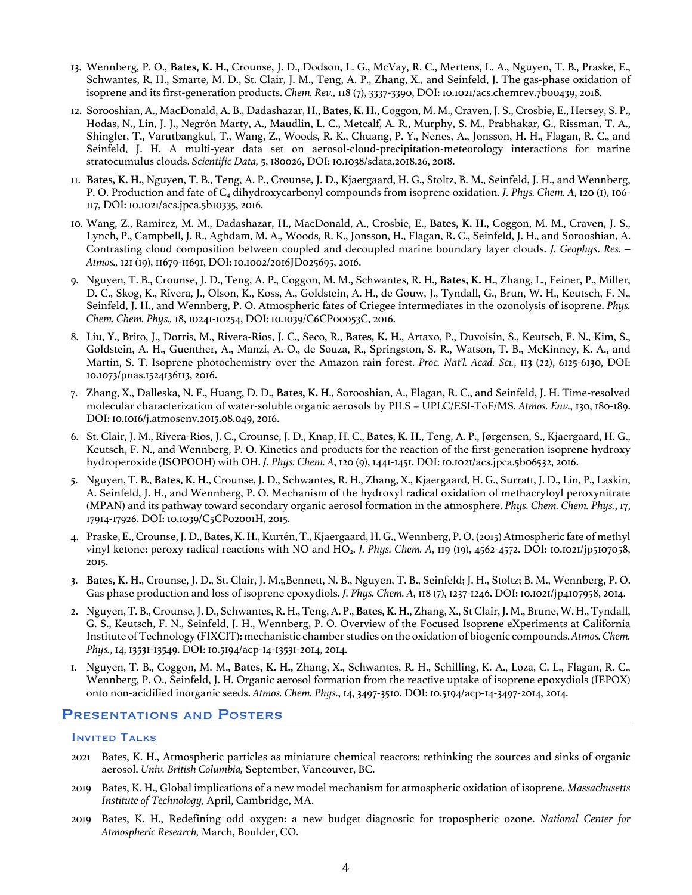- 13. Wennberg, P. O., **Bates, K. H.,** Crounse, J. D., Dodson, L. G., McVay, R. C., Mertens, L. A., Nguyen, T. B., Praske, E., Schwantes, R. H., Smarte, M. D., St. Clair, J. M., Teng, A. P., Zhang, X., and Seinfeld, J. The gas-phase oxidation of isoprene and its first-generation products. *Chem. Rev.,* 118 (7), 3337-3390, DOI: 10.1021/acs.chemrev.7b00439, 2018.
- 12. Sorooshian, A., MacDonald, A. B., Dadashazar, H., **Bates, K. H.**, Coggon, M. M., Craven, J. S., Crosbie, E., Hersey, S. P., Hodas, N., Lin, J. J., Negrón Marty, A., Maudlin, L. C., Metcalf, A. R., Murphy, S. M., Prabhakar, G., Rissman, T. A., Shingler, T., Varutbangkul, T., Wang, Z., Woods, R. K., Chuang, P. Y., Nenes, A., Jonsson, H. H., Flagan, R. C., and Seinfeld, J. H. A multi-year data set on aerosol-cloud-precipitation-meteorology interactions for marine stratocumulus clouds. *Scientific Data,* 5, 180026, DOI: 10.1038/sdata.2018.26, 2018.
- 11. **Bates, K. H.**, Nguyen, T. B., Teng, A. P., Crounse, J. D., Kjaergaard, H. G., Stoltz, B. M., Seinfeld, J. H., and Wennberg, P. O. Production and fate of C<sub>4</sub> dihydroxycarbonyl compounds from isoprene oxidation. *J. Phys. Chem. A*, 120 (1), 106-117, DOI: 10.1021/acs.jpca.5b10335, 2016.
- 10. Wang, Z., Ramirez, M. M., Dadashazar, H., MacDonald, A., Crosbie, E., **Bates, K. H.,** Coggon, M. M., Craven, J. S., Lynch, P., Campbell, J. R., Aghdam, M. A., Woods, R. K., Jonsson, H., Flagan, R. C., Seinfeld, J. H., and Sorooshian, A. Contrasting cloud composition between coupled and decoupled marine boundary layer clouds. *J. Geophys*. *Res. – Atmos.,* 121 (19), 11679-11691, DOI: 10.1002/2016JD025695, 2016.
- 9. Nguyen, T. B., Crounse, J. D., Teng, A. P., Coggon, M. M., Schwantes, R. H., **Bates, K. H.**, Zhang, L., Feiner, P., Miller, D. C., Skog, K., Rivera, J., Olson, K., Koss, A., Goldstein, A. H., de Gouw, J., Tyndall, G., Brun, W. H., Keutsch, F. N., Seinfeld, J. H., and Wennberg, P. O. Atmospheric fates of Criegee intermediates in the ozonolysis of isoprene. *Phys. Chem. Chem. Phys.,* 18, 10241-10254, DOI: 10.1039/C6CP00053C, 2016.
- 8. Liu, Y., Brito, J., Dorris, M., Rivera-Rios, J. C., Seco, R., **Bates, K. H.**, Artaxo, P., Duvoisin, S., Keutsch, F. N., Kim, S., Goldstein, A. H., Guenther, A., Manzi, A.-O., de Souza, R., Springston, S. R., Watson, T. B., McKinney, K. A., and Martin, S. T. Isoprene photochemistry over the Amazon rain forest. *Proc. Nat'l. Acad. Sci.*, 113 (22), 6125-6130, DOI: 10.1073/pnas.1524136113, 2016.
- 7. Zhang, X., Dalleska, N. F., Huang, D. D., **Bates, K. H**., Sorooshian, A., Flagan, R. C., and Seinfeld, J. H. Time-resolved molecular characterization of water-soluble organic aerosols by PILS + UPLC/ESI-ToF/MS. *Atmos. Env.*, 130, 180-189. DOI: 10.1016/j.atmosenv.2015.08.049, 2016.
- 6. St. Clair, J. M., Rivera-Rios, J. C., Crounse, J. D., Knap, H. C., **Bates, K. H**., Teng, A. P., Jørgensen, S., Kjaergaard, H. G., Keutsch, F. N., and Wennberg, P. O. Kinetics and products for the reaction of the first-generation isoprene hydroxy hydroperoxide (ISOPOOH) with OH. *J. Phys. Chem. A*, 120 (9), 1441-1451. DOI: 10.1021/acs.jpca.5b06532, 2016.
- 5. Nguyen, T. B., **Bates, K. H.**, Crounse, J. D., Schwantes, R. H., Zhang, X., Kjaergaard, H. G., Surratt, J. D., Lin, P., Laskin, A. Seinfeld, J. H., and Wennberg, P. O. Mechanism of the hydroxyl radical oxidation of methacryloyl peroxynitrate (MPAN) and its pathway toward secondary organic aerosol formation in the atmosphere. *Phys. Chem. Chem. Phys.*, 17, 17914-17926. DOI: 10.1039/C5CP02001H, 2015.
- 4. Praske, E., Crounse, J. D., **Bates, K. H.**, Kurtén, T., Kjaergaard, H. G., Wennberg, P. O. (2015) Atmospheric fate of methyl vinyl ketone: peroxy radical reactions with NO and HO2. *J. Phys. Chem. A*, 119 (19), 4562-4572. DOI: 10.1021/jp5107058, 2015.
- 3. **Bates, K. H.**, Crounse, J. D., St. Clair, J. M.;,Bennett, N. B., Nguyen, T. B., Seinfeld; J. H., Stoltz; B. M., Wennberg, P. O. Gas phase production and loss of isoprene epoxydiols. *J. Phys. Chem. A*, 118 (7), 1237-1246. DOI: 10.1021/jp4107958, 2014.
- 2. Nguyen, T. B., Crounse, J. D., Schwantes, R. H., Teng, A. P., **Bates, K. H.**, Zhang, X., St Clair, J. M., Brune, W. H., Tyndall, G. S., Keutsch, F. N., Seinfeld, J. H., Wennberg, P. O. Overview of the Focused Isoprene eXperiments at California Institute of Technology (FIXCIT): mechanistic chamber studies on the oxidation of biogenic compounds. *Atmos. Chem. Phys.*, 14, 13531-13549. DOI: 10.5194/acp-14-13531-2014, 2014.
- 1. Nguyen, T. B., Coggon, M. M., **Bates, K. H.,** Zhang, X., Schwantes, R. H., Schilling, K. A., Loza, C. L., Flagan, R. C., Wennberg, P. O., Seinfeld, J. H. Organic aerosol formation from the reactive uptake of isoprene epoxydiols (IEPOX) onto non-acidified inorganic seeds. *Atmos. Chem. Phys.*, 14, 3497-3510. DOI: 10.5194/acp-14-3497-2014, 2014.

# Presentations and Posters

#### **INVITED TALKS**

- 2021 Bates, K. H., Atmospheric particles as miniature chemical reactors: rethinking the sources and sinks of organic aerosol. *Univ. British Columbia,* September, Vancouver, BC.
- 2019 Bates, K. H., Global implications of a new model mechanism for atmospheric oxidation of isoprene. *Massachusetts Institute of Technology,* April, Cambridge, MA.
- 2019 Bates, K. H., Redefining odd oxygen: a new budget diagnostic for tropospheric ozone. *National Center for Atmospheric Research,* March, Boulder, CO.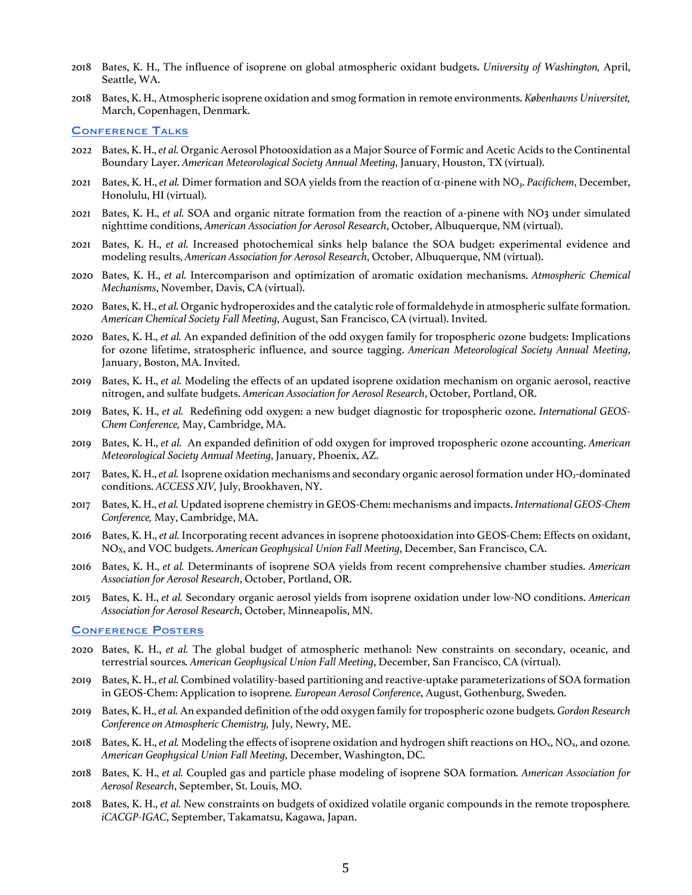- 2018 Bates, K. H., The influence of isoprene on global atmospheric oxidant budgets. *University of Washington,* April, Seattle, WA.
- 2018 Bates, K. H., Atmospheric isoprene oxidation and smog formation in remote environments. *Københavns Universitet,*  March, Copenhagen, Denmark.

#### **CONFERENCE TALKS**

- 2022 Bates, K. H., *et al.* Organic Aerosol Photooxidation as a Major Source of Formic and Acetic Acids to the Continental Boundary Layer. *American Meteorological Society Annual Meeting*, January, Houston, TX (virtual).
- 2021 Bates, K. H., *et al.* Dimer formation and SOA yields from the reaction of  $\alpha$ -pinene with NO<sub>3</sub>. *Pacifichem*, December, Honolulu, HI (virtual).
- 2021 Bates, K. H., *et al.* SOA and organic nitrate formation from the reaction of a-pinene with NO3 under simulated nighttime conditions, *American Association for Aerosol Research*, October, Albuquerque, NM (virtual).
- 2021 Bates, K. H., *et al.* Increased photochemical sinks help balance the SOA budget: experimental evidence and modeling results, *American Association for Aerosol Research*, October, Albuquerque, NM (virtual).
- 2020 Bates, K. H., *et al.* Intercomparison and optimization of aromatic oxidation mechanisms. *Atmospheric Chemical Mechanisms*, November, Davis, CA (virtual).
- 2020 Bates, K. H., *et al.* Organic hydroperoxides and the catalytic role of formaldehyde in atmospheric sulfate formation. *American Chemical Society Fall Meeting*, August, San Francisco, CA (virtual). Invited.
- 2020 Bates, K. H., *et al.* An expanded definition of the odd oxygen family for tropospheric ozone budgets: Implications for ozone lifetime, stratospheric influence, and source tagging. *American Meteorological Society Annual Meeting*, January, Boston, MA. Invited.
- 2019 Bates, K. H., *et al.* Modeling the effects of an updated isoprene oxidation mechanism on organic aerosol, reactive nitrogen, and sulfate budgets. *American Association for Aerosol Research*, October, Portland, OR.
- 2019 Bates, K. H., *et al.* Redefining odd oxygen: a new budget diagnostic for tropospheric ozone. *International GEOS-Chem Conference,* May, Cambridge, MA.
- 2019 Bates, K. H., *et al.* An expanded definition of odd oxygen for improved tropospheric ozone accounting. *American Meteorological Society Annual Meeting*, January, Phoenix, AZ.
- 2017 Bates, K. H., *et al.* Isoprene oxidation mechanisms and secondary organic aerosol formation under HO2-dominated conditions. *ACCESS XIV,* July, Brookhaven, NY.
- 2017 Bates, K. H., *et al.* Updated isoprene chemistry in GEOS-Chem: mechanisms and impacts. *International GEOS-Chem Conference,* May, Cambridge, MA.
- 2016 Bates, K. H., *et al.* Incorporating recent advances in isoprene photooxidation into GEOS-Chem: Effects on oxidant, NOX, and VOC budgets. *American Geophysical Union Fall Meeting*, December, San Francisco, CA.
- 2016 Bates, K. H., *et al.* Determinants of isoprene SOA yields from recent comprehensive chamber studies. *American Association for Aerosol Research*, October, Portland, OR.
- 2015 Bates, K. H., *et al.* Secondary organic aerosol yields from isoprene oxidation under low-NO conditions. *American Association for Aerosol Research*, October, Minneapolis, MN.

#### Conference Posters

- 2020 Bates, K. H., *et al.* The global budget of atmospheric methanol: New constraints on secondary, oceanic, and terrestrial sources*. American Geophysical Union Fall Meeting*, December, San Francisco, CA (virtual).
- 2019 Bates, K. H., *et al.* Combined volatility-based partitioning and reactive-uptake parameterizations of SOA formation in GEOS-Chem: Application to isoprene*. European Aerosol Conference*, August, Gothenburg, Sweden.
- 2019 Bates, K. H., *et al.*An expanded definition of the odd oxygen family for tropospheric ozone budgets*. Gordon Research Conference on Atmospheric Chemistry,* July, Newry, ME.
- 2018 Bates, K. H., *et al.* Modeling the effects of isoprene oxidation and hydrogen shift reactions on HOx, NOx, and ozone*. American Geophysical Union Fall Meeting*, December, Washington, DC.
- 2018 Bates, K. H., *et al.* Coupled gas and particle phase modeling of isoprene SOA formation*. American Association for Aerosol Research*, September, St. Louis, MO.
- 2018 Bates, K. H., *et al.* New constraints on budgets of oxidized volatile organic compounds in the remote troposphere*. iCACGP-IGAC*, September, Takamatsu, Kagawa, Japan.